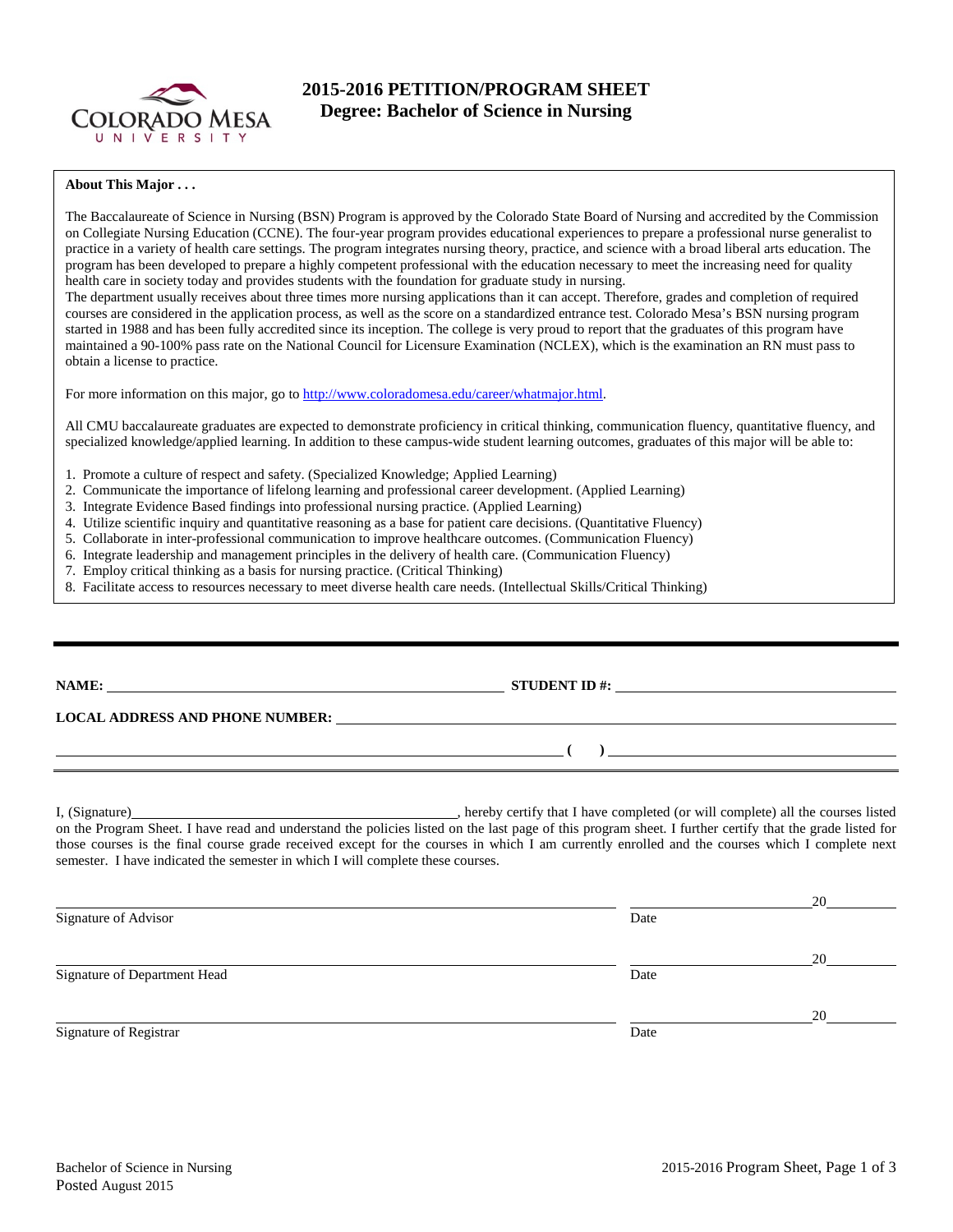

# **2015-2016 PETITION/PROGRAM SHEET Degree: Bachelor of Science in Nursing**

#### **About This Major . . .**

The Baccalaureate of Science in Nursing (BSN) Program is approved by the Colorado State Board of Nursing and accredited by the Commission on Collegiate Nursing Education (CCNE). The four-year program provides educational experiences to prepare a professional nurse generalist to practice in a variety of health care settings. The program integrates nursing theory, practice, and science with a broad liberal arts education. The program has been developed to prepare a highly competent professional with the education necessary to meet the increasing need for quality health care in society today and provides students with the foundation for graduate study in nursing.

The department usually receives about three times more nursing applications than it can accept. Therefore, grades and completion of required courses are considered in the application process, as well as the score on a standardized entrance test. Colorado Mesa's BSN nursing program started in 1988 and has been fully accredited since its inception. The college is very proud to report that the graduates of this program have maintained a 90-100% pass rate on the National Council for Licensure Examination (NCLEX), which is the examination an RN must pass to obtain a license to practice.

For more information on this major, go to [http://www.coloradomesa.edu/career/whatmajor.html.](http://www.coloradomesa.edu/career/whatmajor.html)

All CMU baccalaureate graduates are expected to demonstrate proficiency in critical thinking, communication fluency, quantitative fluency, and specialized knowledge/applied learning. In addition to these campus-wide student learning outcomes, graduates of this major will be able to:

- 1. Promote a culture of respect and safety. (Specialized Knowledge; Applied Learning)
- 2. Communicate the importance of lifelong learning and professional career development. (Applied Learning)
- 3. Integrate Evidence Based findings into professional nursing practice. (Applied Learning)
- 4. Utilize scientific inquiry and quantitative reasoning as a base for patient care decisions. (Quantitative Fluency)
- 5. Collaborate in inter-professional communication to improve healthcare outcomes. (Communication Fluency)
- 6. Integrate leadership and management principles in the delivery of health care. (Communication Fluency)
- 7. Employ critical thinking as a basis for nursing practice. (Critical Thinking)
- 8. Facilitate access to resources necessary to meet diverse health care needs. (Intellectual Skills/Critical Thinking)

| <b>NAME:</b><br>LOCAL ADDRESS AND PHONE NUMBER: University of the contract of the contract of the contract of the contract of the contract of the contract of the contract of the contract of the contract of the contract of the contract of | STUDENT ID #: $\_$ |
|-----------------------------------------------------------------------------------------------------------------------------------------------------------------------------------------------------------------------------------------------|--------------------|
|                                                                                                                                                                                                                                               |                    |
|                                                                                                                                                                                                                                               |                    |

I, (Signature) , hereby certify that I have completed (or will complete) all the courses listed on the Program Sheet. I have read and understand the policies listed on the last page of this program sheet. I further certify that the grade listed for those courses is the final course grade received except for the courses in which I am currently enrolled and the courses which I complete next semester. I have indicated the semester in which I will complete these courses.

|                              |      | 20 |
|------------------------------|------|----|
| Signature of Advisor         | Date |    |
|                              |      | 20 |
| Signature of Department Head | Date |    |
|                              |      | 20 |
| Signature of Registrar       | Date |    |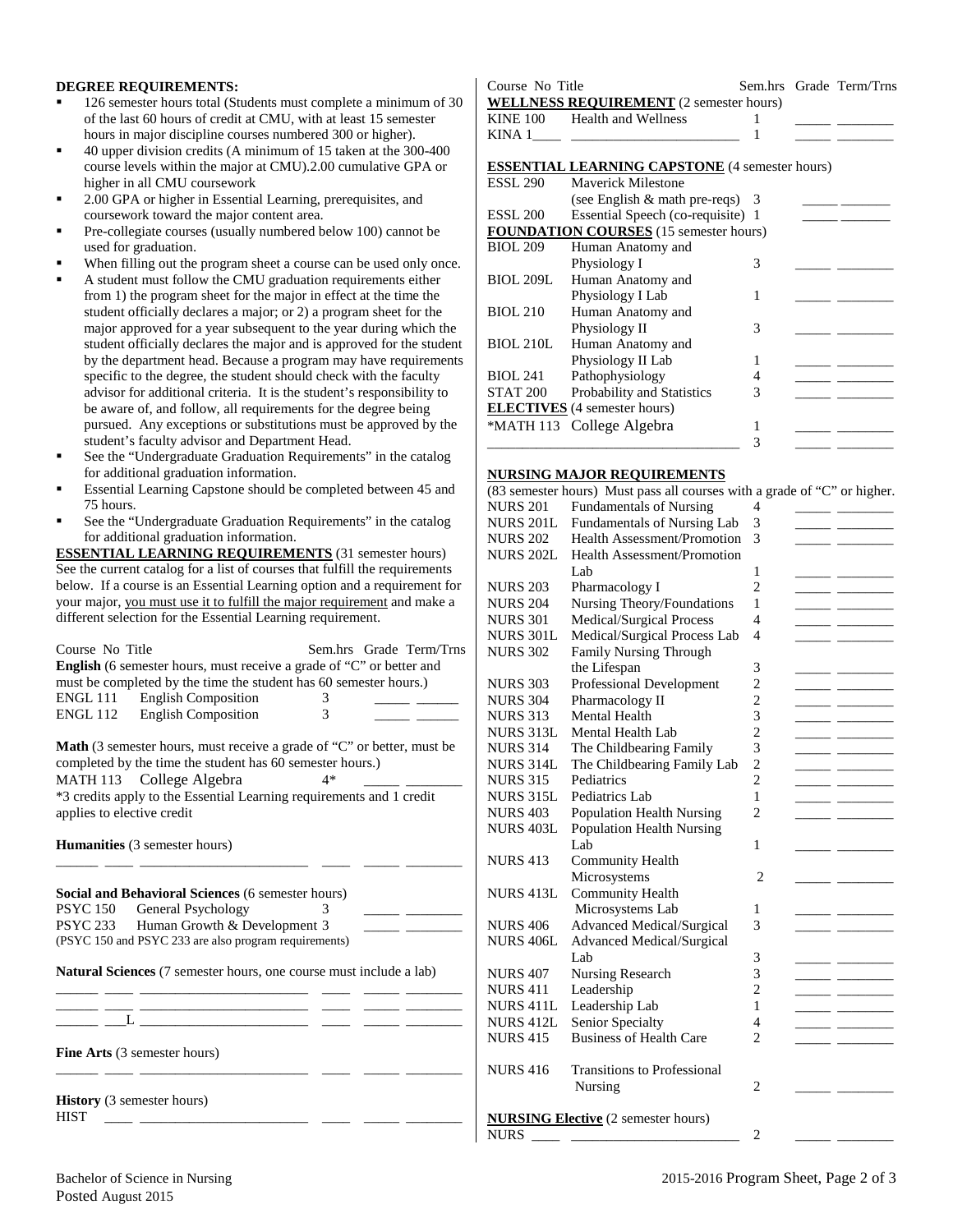#### **DEGREE REQUIREMENTS:**

- 126 semester hours total (Students must complete a minimum of 30 of the last 60 hours of credit at CMU, with at least 15 semester hours in major discipline courses numbered 300 or higher).
- 40 upper division credits (A minimum of 15 taken at the 300-400 course levels within the major at CMU).2.00 cumulative GPA or higher in all CMU coursework
- 2.00 GPA or higher in Essential Learning, prerequisites, and coursework toward the major content area.
- Pre-collegiate courses (usually numbered below 100) cannot be used for graduation.
- When filling out the program sheet a course can be used only once.
- A student must follow the CMU graduation requirements either from 1) the program sheet for the major in effect at the time the student officially declares a major; or 2) a program sheet for the major approved for a year subsequent to the year during which the student officially declares the major and is approved for the student by the department head. Because a program may have requirements specific to the degree, the student should check with the faculty advisor for additional criteria. It is the student's responsibility to be aware of, and follow, all requirements for the degree being pursued. Any exceptions or substitutions must be approved by the student's faculty advisor and Department Head.
- See the "Undergraduate Graduation Requirements" in the catalog for additional graduation information.
- Essential Learning Capstone should be completed between 45 and 75 hours.
- See the "Undergraduate Graduation Requirements" in the catalog for additional graduation information.

**ESSENTIAL LEARNING REQUIREMENTS** (31 semester hours) See the current catalog for a list of courses that fulfill the requirements below. If a course is an Essential Learning option and a requirement for your major, you must use it to fulfill the major requirement and make a different selection for the Essential Learning requirement.

| Course No Title<br>English (6 semester hours, must receive a grade of "C" or better and<br>must be completed by the time the student has 60 semester hours.)<br>ENGL 111 English Composition<br>ENGL 112 English Composition | Sem.hrs Grade Term/Trns<br>3<br>3 |
|------------------------------------------------------------------------------------------------------------------------------------------------------------------------------------------------------------------------------|-----------------------------------|
| <b>Math</b> (3 semester hours, must receive a grade of "C" or better, must be<br>completed by the time the student has 60 semester hours.)                                                                                   |                                   |
|                                                                                                                                                                                                                              |                                   |
| MATH 113 College Algebra                                                                                                                                                                                                     | 4*                                |
| *3 credits apply to the Essential Learning requirements and 1 credit<br>applies to elective credit                                                                                                                           |                                   |
| <b>Humanities</b> (3 semester hours)                                                                                                                                                                                         |                                   |
|                                                                                                                                                                                                                              |                                   |
| Social and Behavioral Sciences (6 semester hours)                                                                                                                                                                            |                                   |
| <b>PSYC</b> 150<br>General Psychology                                                                                                                                                                                        | 3                                 |
| PSYC 233 Human Growth & Development 3                                                                                                                                                                                        |                                   |
| (PSYC 150 and PSYC 233 are also program requirements)                                                                                                                                                                        |                                   |
|                                                                                                                                                                                                                              |                                   |
| <b>Natural Sciences</b> (7 semester hours, one course must include a lab)                                                                                                                                                    |                                   |
|                                                                                                                                                                                                                              |                                   |
| <u>. Andreas and the second component of the second control of the second control of the second control of the second</u>                                                                                                    |                                   |
| $L \xrightarrow{\phantom{aa} \phantom{aa}}$                                                                                                                                                                                  |                                   |
| <b>Fine Arts</b> (3 semester hours)                                                                                                                                                                                          |                                   |
| <b>History</b> (3 semester hours)<br><b>HIST</b>                                                                                                                                                                             |                                   |

| Course No Title                                                        |  | Sem.hrs Grade Term/Trns                          |
|------------------------------------------------------------------------|--|--------------------------------------------------|
| <b>WELLNESS REQUIREMENT</b> (2 semester hours)                         |  |                                                  |
| KINE 100 Health and Wellness                                           |  |                                                  |
| KINA $1 \qquad \qquad$ $\qquad \qquad$ $\qquad \qquad$ $\qquad \qquad$ |  | the company of the company of the company of the |
|                                                                        |  |                                                  |
| <b>ESSENTIAL LEARNING CAPSTONE</b> (4 semester hours)                  |  |                                                  |
| $ECT 200 \sim M$ is the Military                                       |  |                                                  |

| Maverick Milestone                  |   |                                                                                                                         |  |
|-------------------------------------|---|-------------------------------------------------------------------------------------------------------------------------|--|
|                                     |   |                                                                                                                         |  |
|                                     |   |                                                                                                                         |  |
|                                     |   |                                                                                                                         |  |
| Human Anatomy and                   |   |                                                                                                                         |  |
| Physiology I                        | 3 |                                                                                                                         |  |
| Human Anatomy and                   |   |                                                                                                                         |  |
| Physiology I Lab                    |   |                                                                                                                         |  |
| Human Anatomy and                   |   |                                                                                                                         |  |
| Physiology II                       | 3 |                                                                                                                         |  |
| Human Anatomy and                   |   |                                                                                                                         |  |
| Physiology II Lab                   |   |                                                                                                                         |  |
| Pathophysiology                     |   |                                                                                                                         |  |
| <b>Probability and Statistics</b>   | 3 |                                                                                                                         |  |
| <b>ELECTIVES</b> (4 semester hours) |   |                                                                                                                         |  |
| *MATH 113 College Algebra           |   |                                                                                                                         |  |
|                                     |   |                                                                                                                         |  |
|                                     |   | (see English $&$ math pre-reqs) 3<br>Essential Speech (co-requisite) 1<br><b>FOUNDATION COURSES</b> (15 semester hours) |  |

#### **NURSING MAJOR REQUIREMENTS**

| (83 semester hours) Must pass all courses with a grade of "C" or higher. |                                    |                |  |                |  |
|--------------------------------------------------------------------------|------------------------------------|----------------|--|----------------|--|
| <b>NURS 201</b>                                                          | <b>Fundamentals of Nursing</b>     | 4              |  |                |  |
| <b>NURS 201L</b>                                                         | Fundamentals of Nursing Lab        | 3              |  |                |  |
| <b>NURS 202</b>                                                          | Health Assessment/Promotion        | 3              |  |                |  |
| <b>NURS 202L</b>                                                         | Health Assessment/Promotion        |                |  |                |  |
|                                                                          | Lab                                | 1              |  |                |  |
| <b>NURS 203</b>                                                          | Pharmacology I                     | $\overline{2}$ |  |                |  |
| <b>NURS 204</b>                                                          | Nursing Theory/Foundations         | 1              |  |                |  |
| <b>NURS 301</b>                                                          | Medical/Surgical Process           | 4              |  |                |  |
| <b>NURS 301L</b>                                                         | Medical/Surgical Process Lab       | 4              |  |                |  |
| <b>NURS 302</b>                                                          | <b>Family Nursing Through</b>      |                |  |                |  |
|                                                                          | the Lifespan                       | 3              |  |                |  |
| <b>NURS 303</b>                                                          | Professional Development           | $\overline{c}$ |  |                |  |
| <b>NURS 304</b>                                                          | Pharmacology II                    | $\overline{c}$ |  | $\overline{a}$ |  |
| <b>NURS 313</b>                                                          | <b>Mental Health</b>               | 3              |  |                |  |
| <b>NURS 313L</b>                                                         | Mental Health Lab                  | $\overline{c}$ |  |                |  |
| <b>NURS 314</b>                                                          | The Childbearing Family            | 3              |  |                |  |
| <b>NURS 314L</b>                                                         | The Childbearing Family Lab        | $\overline{2}$ |  |                |  |
| <b>NURS 315</b>                                                          | Pediatrics                         | $\overline{c}$ |  |                |  |
| <b>NURS 315L</b>                                                         | Pediatrics Lab                     | 1              |  |                |  |
| <b>NURS 403</b>                                                          | <b>Population Health Nursing</b>   | $\overline{2}$ |  |                |  |
| <b>NURS 403L</b>                                                         | <b>Population Health Nursing</b>   |                |  |                |  |
|                                                                          | Lab                                | 1              |  |                |  |
| <b>NURS 413</b>                                                          | <b>Community Health</b>            |                |  |                |  |
|                                                                          | Microsystems                       | 2              |  |                |  |
| <b>NURS 413L</b>                                                         | <b>Community Health</b>            |                |  |                |  |
|                                                                          | Microsystems Lab                   | 1              |  |                |  |
| <b>NURS 406</b>                                                          | Advanced Medical/Surgical          | 3              |  |                |  |
| <b>NURS 406L</b>                                                         | Advanced Medical/Surgical          |                |  |                |  |
|                                                                          | Lab                                | 3              |  |                |  |
| <b>NURS 407</b>                                                          | Nursing Research                   | 3              |  |                |  |
| <b>NURS 411</b>                                                          | Leadership                         | $\overline{c}$ |  |                |  |
| <b>NURS 411L</b>                                                         | Leadership Lab                     | 1              |  |                |  |
| <b>NURS 412L</b>                                                         | Senior Specialty                   | 4              |  |                |  |
| <b>NURS 415</b>                                                          | <b>Business of Health Care</b>     | 2              |  |                |  |
|                                                                          |                                    |                |  |                |  |
| <b>NURS 416</b>                                                          | <b>Transitions to Professional</b> |                |  |                |  |
|                                                                          | Nursing                            | $\overline{2}$ |  |                |  |
|                                                                          |                                    |                |  |                |  |
| <b>NURSING Elective</b> (2 semester hours)                               |                                    |                |  |                |  |
| <b>NURS</b>                                                              |                                    | $\overline{2}$ |  |                |  |